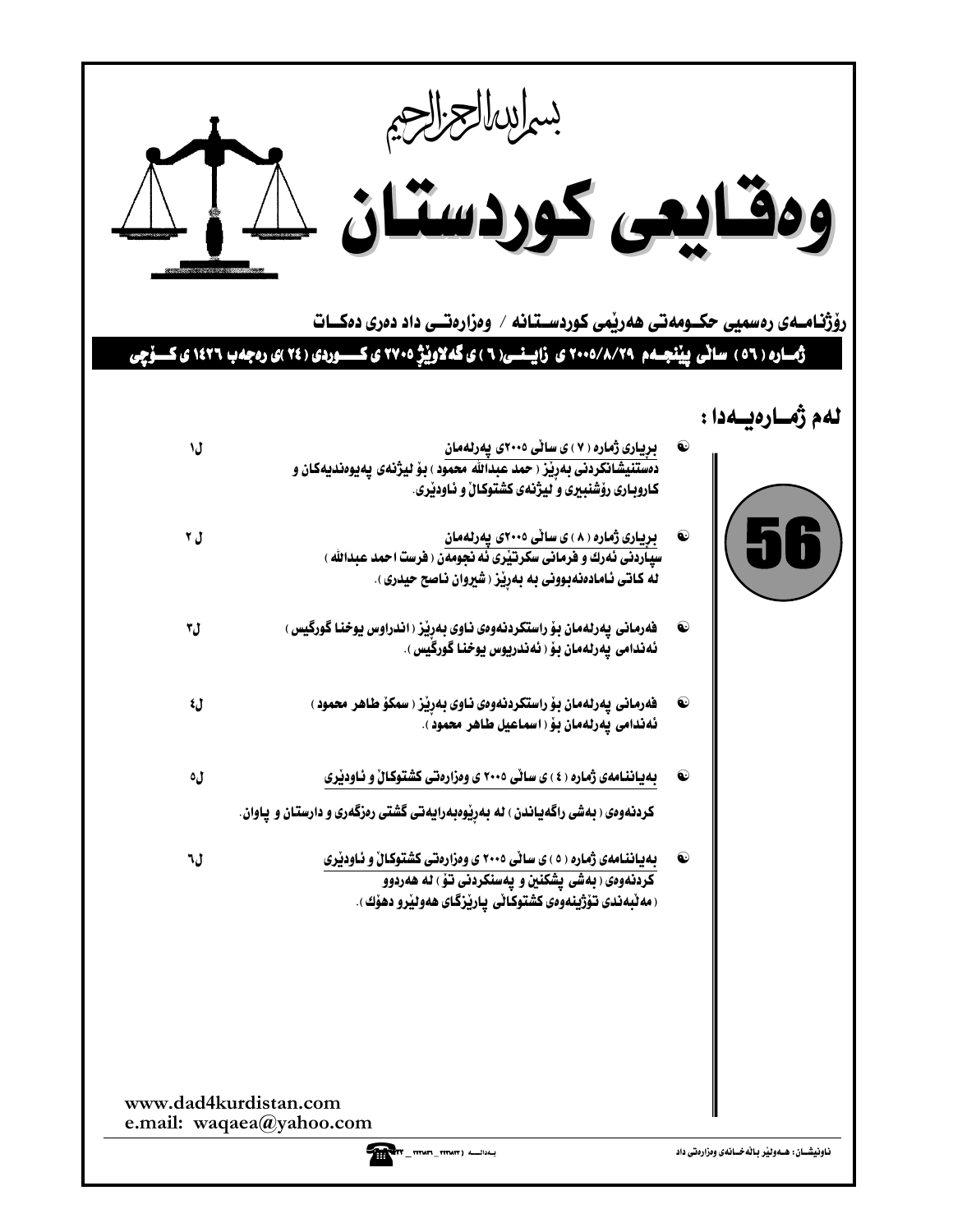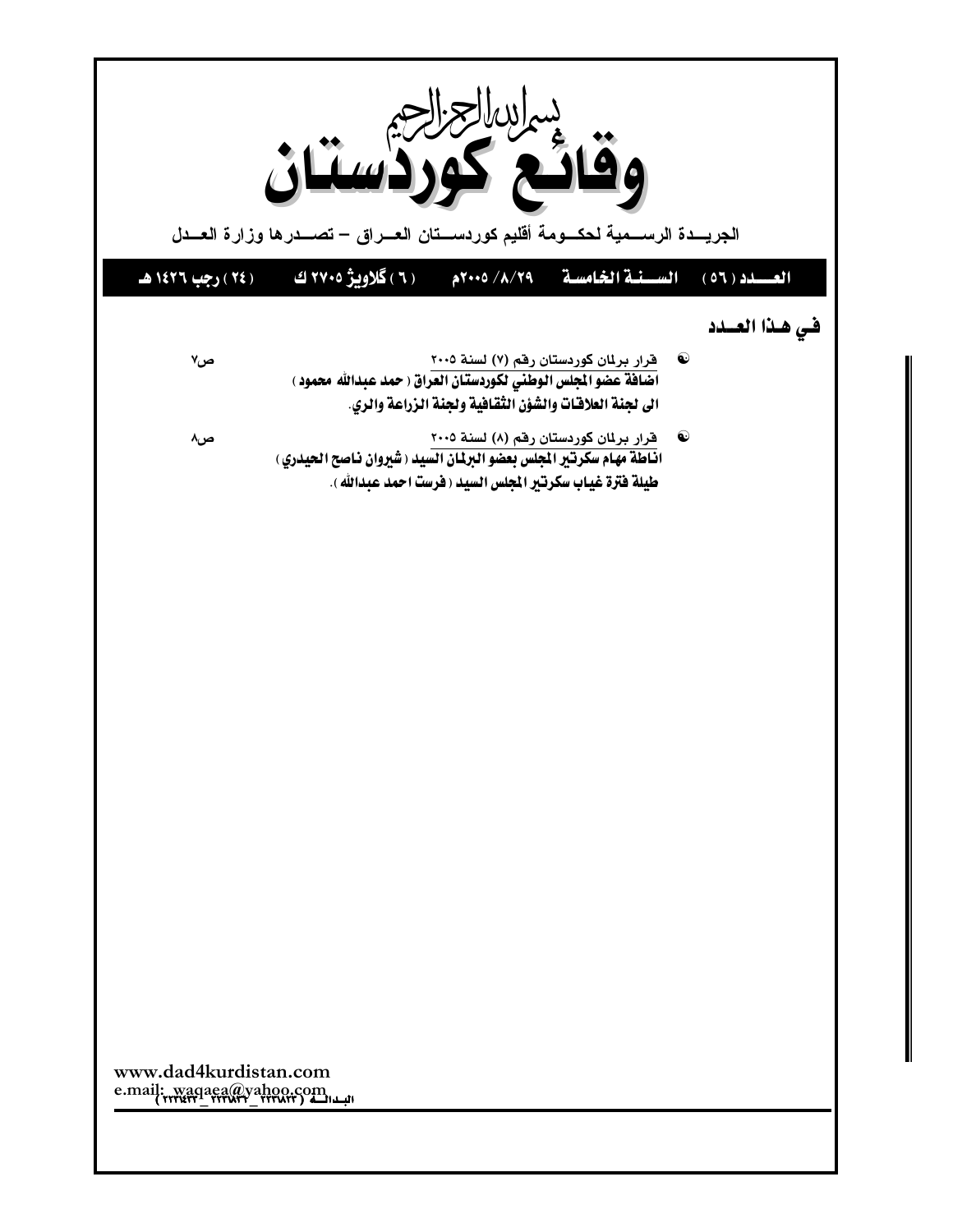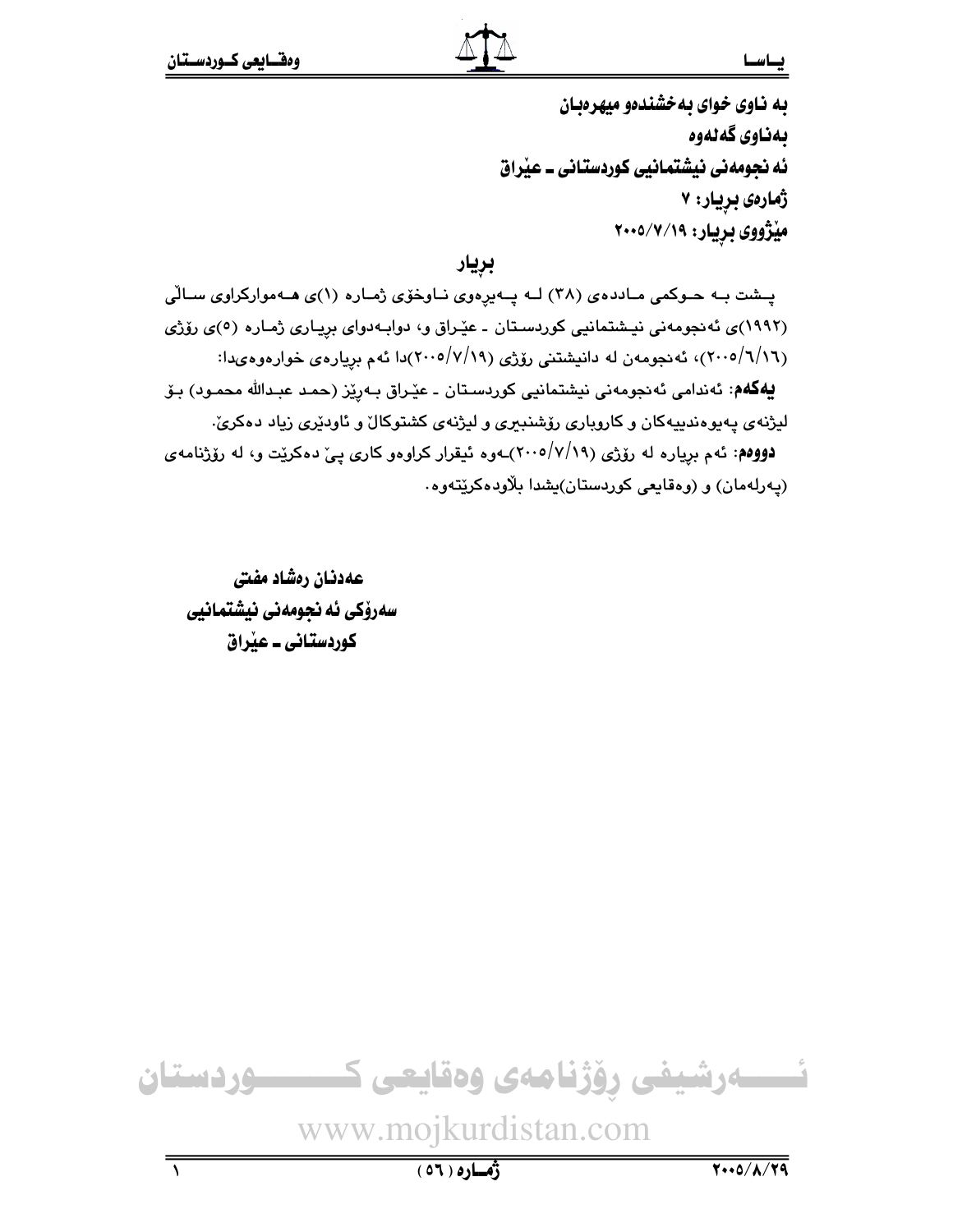## يباسنا

به ناوی خوای به خشندهو میهرهبان بەناوى گەنەوە ئه نجومهنی نیشتمانیی کوردستانی ۔ عیراق ژمارەي بريار: ۷ مێژووی بریار: ۷/۷/۱۹-۲۰۰

بريار

پشت بـه حـوکمی مـاددهی (۳۸) لـه پـهیرِهوی نـاوخوّی ژمـاره (۱)ی هـهموارکراوی سـالّی (۱۹۹۲)ی ئەنجومەنی نیشتمانیی کوردستان ـ عیّراق و، دوابەدوای برِیـاری ژمـارە (٥)ی رۆژی (۲۰۰۵/٦/۱٦)، ئەنجومەن لە دانيشتنى رۆژى (۷/۱۹/ ۲۰۰۵/۷/۱۹)دا ئەم بړيارەي خوارەوەيدا: **يەكەم**: ئەندامى ئەنجومەنى نيشتمانيى كوردسىتان ـ عێراق بـەرێز (حمد عبدالله محمـود) بـۆ لیژنهی پهیوهندییهکان و کاروباری رۆشنبیری و لیژنهی کشتوکال و ئاودێری زیاد دهکریّ. **دووهم**: ئهم بریاره له رۆژی (۲۰۰۵/۷/۱۹)ـهوه ئیقرار کراوهو کاری پیّ دهکریّت و، له رۆژنامهی (پهرلهمان) و (وهقايعي كوردستان)يشدا بلاودهكريتهوه.

عهدنان رەشاد مفتى سەرۆكى ئە نجومەنى نيشتمانيى کوردستانی ــ عیراق



 $(01)$ 0)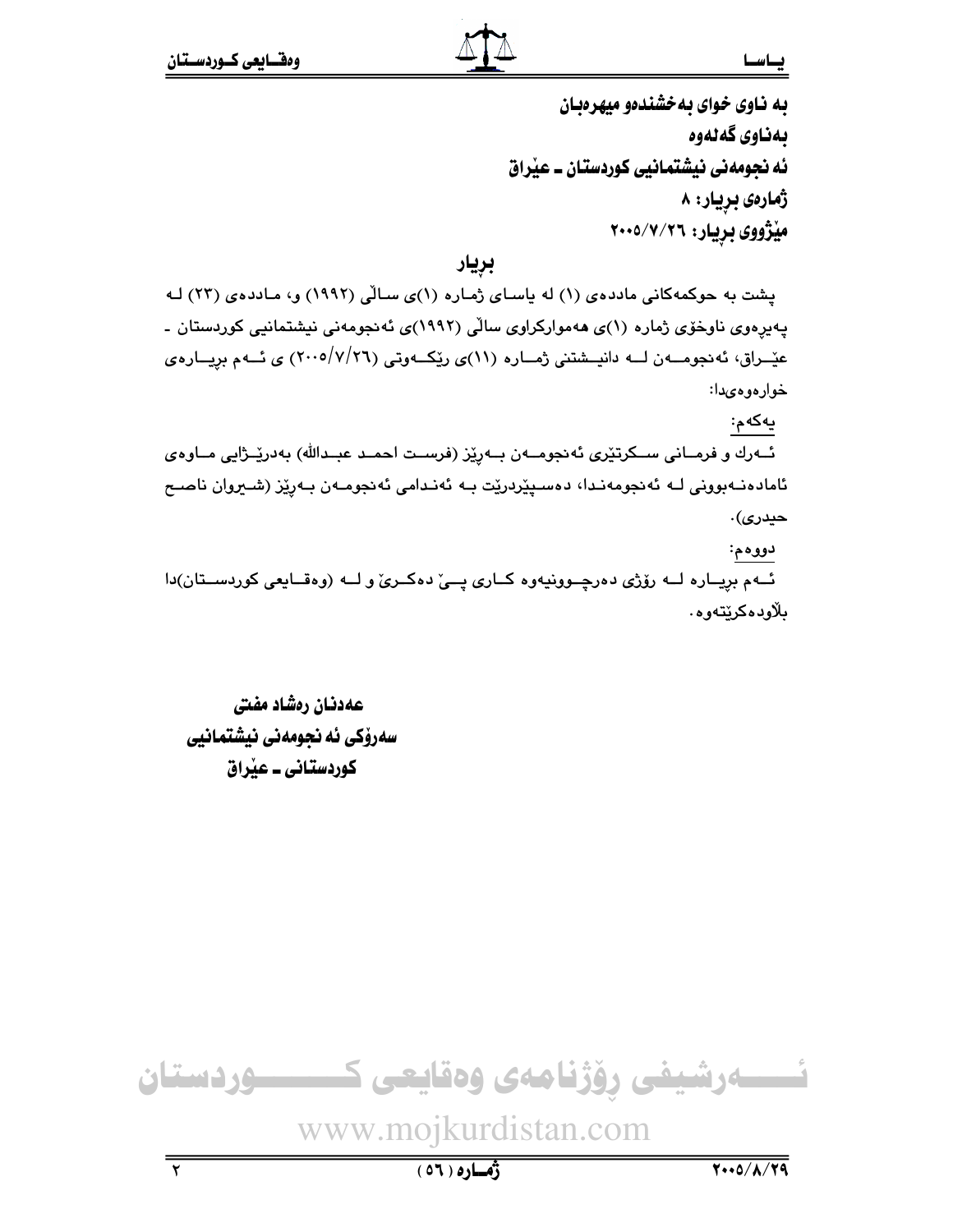### يطسط

به ناوی خوای به خشندهو میهرهبان ىمناوى گەنەوە ئه نجومهني نيشتمانيي كوردستان ۔ عيْراق ژمارەى بريار: ۸ میژووی بریار: ۲۰۰۵/۷/۲٦

بريار

یشت به حوکمهکانی ماددهی (۱) له یاسای ژماره (۱)ی سالّی (۱۹۹۲) و، ماددهی (۲۳) له پەيرەوي ناوخۆي ژمارە (١)ي ھەمواركراوي سالْي (١٩٩٢)ي ئەنجومەنى نيشتمانيي كوردستان -عێــراق، ئەنجومـــەن لـــه دانيــشتنى ژمـــاره (١١)ى رێِكـــەوتى (٢٦/٧/٢٦) ى ئـــەم بريـــارەي خوارەوەىدا:

يەكەم:

ئــەرك و فرمــانى ســكرتێرى ئەنجومــەن بــەرێز (فرســت احمـد عبــدالله) بەدرێــژاپى مــاوەي ئامادەنـﻪبوونى لـﻪ ئەنجومەنـدا، دەسـﭙێردرێت بـﻪ ئەنـدامى ئەنجومـﻪن بـﻪرێز (شـﯩﺮوان ناصـح حيدرى).

دووهم:

ئـهم بريـاره لـه رۆژى دەرچـوونيەوه كـارى پــى دەكـرى ولـه (وەقـايعى كوردسـتان)دا ىلاودەكرىتەو ھ.

عهدنان رەشاد مفتى سەرۆكى ئە نجومەنى نيشتمانيى کوردستانی ــ عیراق

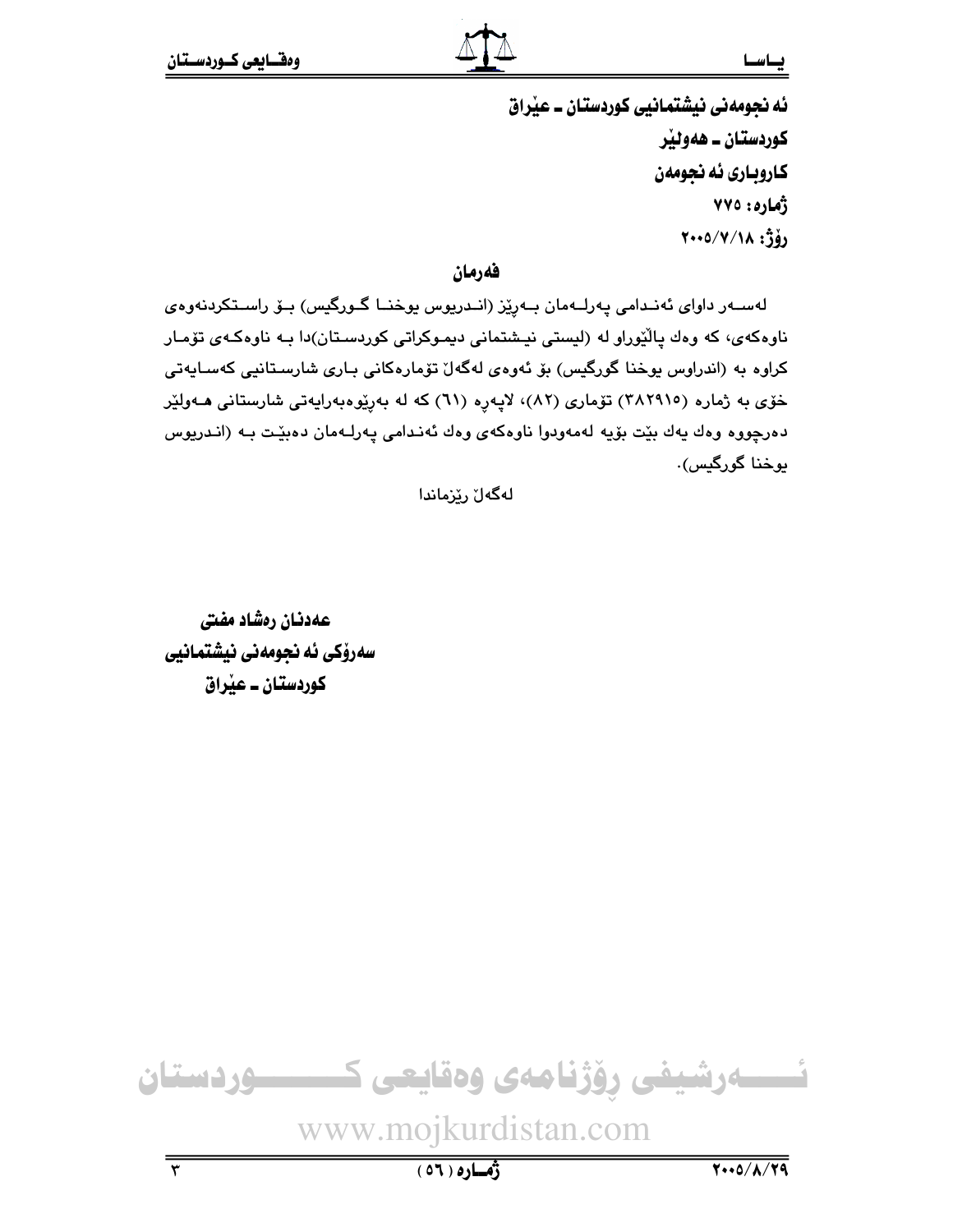#### يساسسا

ئه نجومهني نيشتمانيي كوردستان ــ عيّراق کوردستان ــ هەوئێر كاروباري ئه نجومهن ژُمارهِ : ٧٧٥  $Y \cdot 0/Y/\lambda$  :  $\hat{J}y$ 

فهرمان

لەســەر داواي ئەنــدامى پـەرلــەمان بــەرێز (انــدريوس پوخنــا گــورگيس) بــۆ راســتكردنەوەي .<br>ناوهکهی، که وهك پالْيّوراو له (لیستی نیشتمانی دیموکراتی کوردسـتان)دا بـه ناوهکـهی تۆمـار كراوه به (اندراوس پوخنا گورگيس) بۆ ئەوەي لەگەلٌ تۆمارەكانى بـارى شارسـتانيى كەسـايەتى خۆی به ژماره (٢٨٢٩١٥) تۆماری (٨٢)، لاپهره (٦١) كه له بهريوهبهرايهتي شارستاني هـهوليّر دەرچووە وەك يەك بێت بۆيە لەمەودوا ناوەكەي وەك ئەنىدامى يەرلـەمان دەبێت بـە (انـدريوس پوخنا گورگېس).

لەگەلٚ رێزماندا

عهدنان رهشاد مفتى سەرۆكى ئە نجومەنى نيشتمانيى کوردستان ــ عیراق

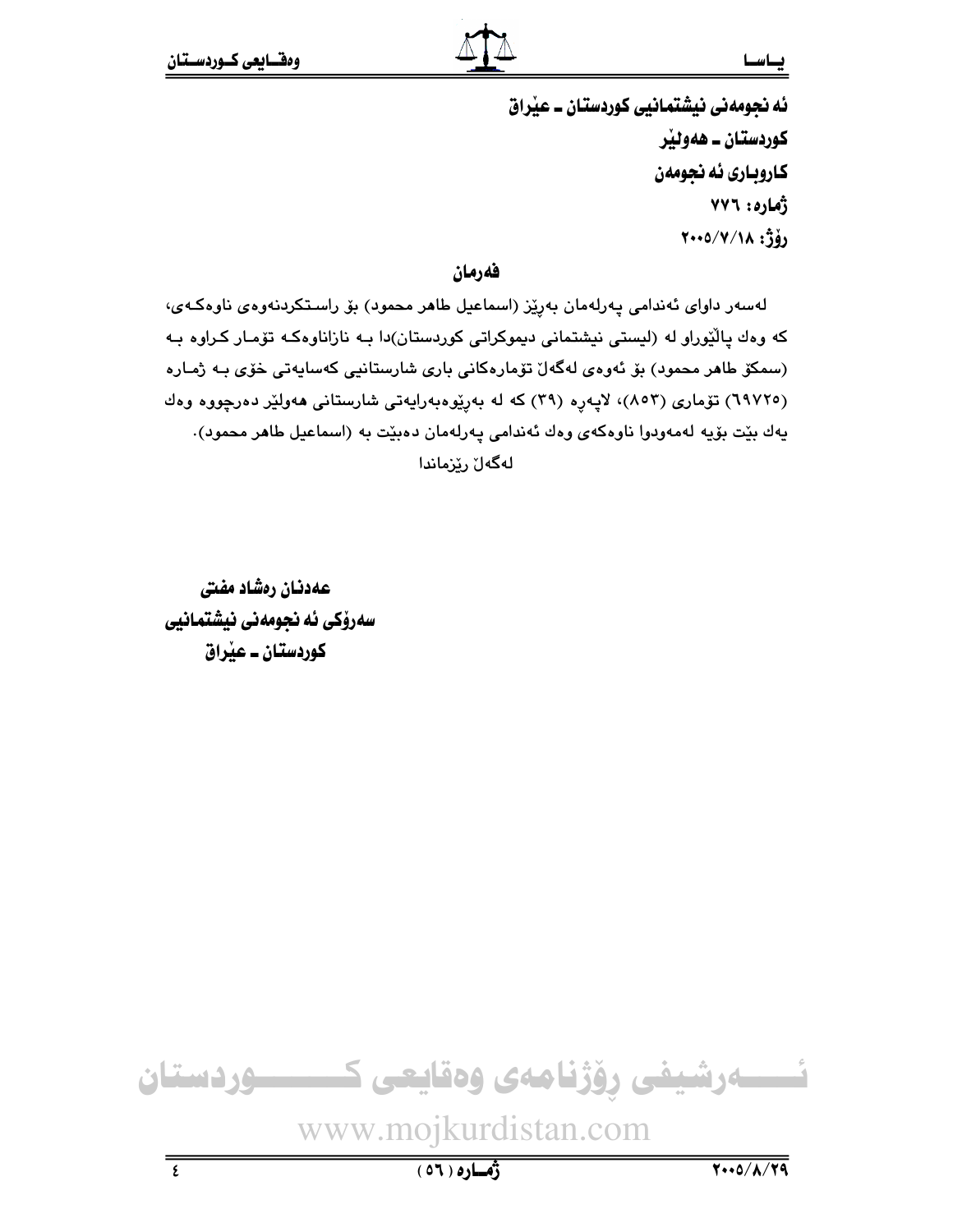ئه نجومهني نيشتمانيي كوردستان ــ عيّراق کوردستان ــ ههوئير كاروباري ئه نجومهن ژُماره: ٧٧٦  $Y \cdot 0/Y/\lambda$ ;  $j \delta$ 

فهرمان

لەسەر داواي ئەندامى پەرلەمان بەرپرز (اسماعيل طاھر محمود) بۆ راستكردنەوەي ناوەكەي، که وهك پالْيُوراو له (ليستى نيشتمانى ديموکراتى کوردستان)دا بـه نازاناوهکـه تۆمـار کـراوه بـه (سمکۆ طاھر محمود) بۆ ئەوەي لەگەل تۆمارەکانى بارى شارستانيى كەساپەتى خۆي بـە ژمـارە (٦٩٧٢٥) تۆمارى (٨٥٣)، لايەرە (٣٩) كه له بەرپوەبەرايەتى شارستانى ھەولپر دەرچووە وەك يهك بێت بۆيه لەمەودوا ناوەكەي وەك ئەندامى يەرلەمان دەبێت بە (اسماعيل طاھر محمود). لەگەل رىزماندا

عهدنان رهشاد مفتى سەرۆكى ئە نجومەنى نيشتمانيى کوردستان ــ عبراق



 $(01)$ 0)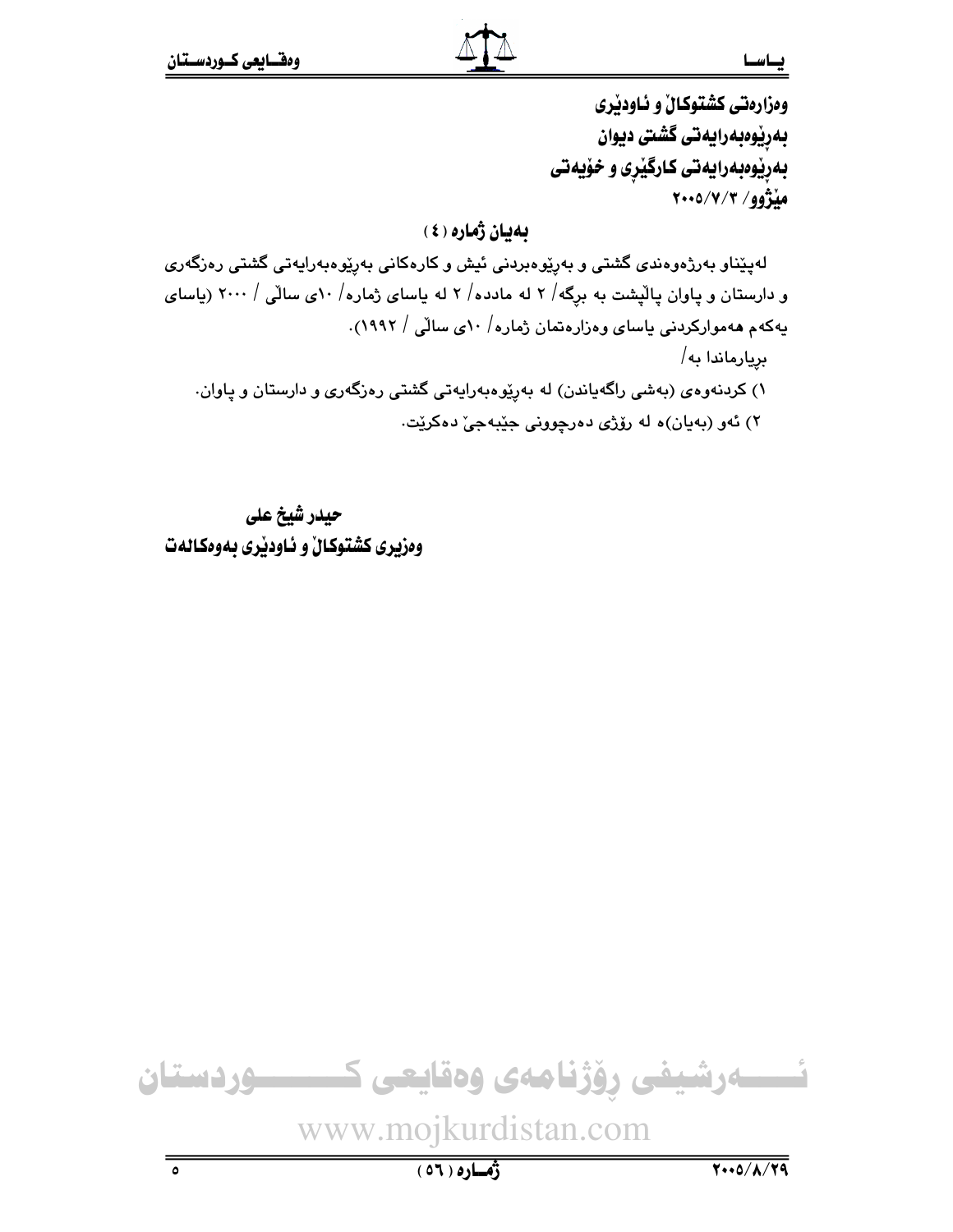وهزارهتي كشتوكالٌ و ئـاودێري بەرێوەبەرايەتى گشتى ديوان بهریوهبهرایهتی کارگیری و خویهتی مڏژوو/ ۲۰۰۵/۷/۳

# ىمپان ژمارە (٤)

لەپێناو بەرژەوەندى گشتى و بەرێوەبردنى ئيش و كارەكانى بەرێوەبەرايەتى گشتى رەزگەرى و دارستان و پاوان پالیشت به برگه/ ۲ له مادده/ ۲ له یاسای ژماره/ ۱۰ی سالّی / ۲۰۰۰ (یاسای پهکهم ههموارکردنی پاسای وهزارهتمان ژماره/ ۱۰ی سالّی / ۱۹۹۲). بريارماندا به/ ۱) کردنهوهی (بهشی راگهیاندن) له بهریوهبهرایهتی گشتی رهزگهری و دارستان و یاوان. ٢) ئەو (بەيان)ە لە رۆژى دەرچوونى جێبەجىٚ دەكرێت.

حيدر شيخ على وهزیری کشتوکالْ و ناودیری بهوهکالهت

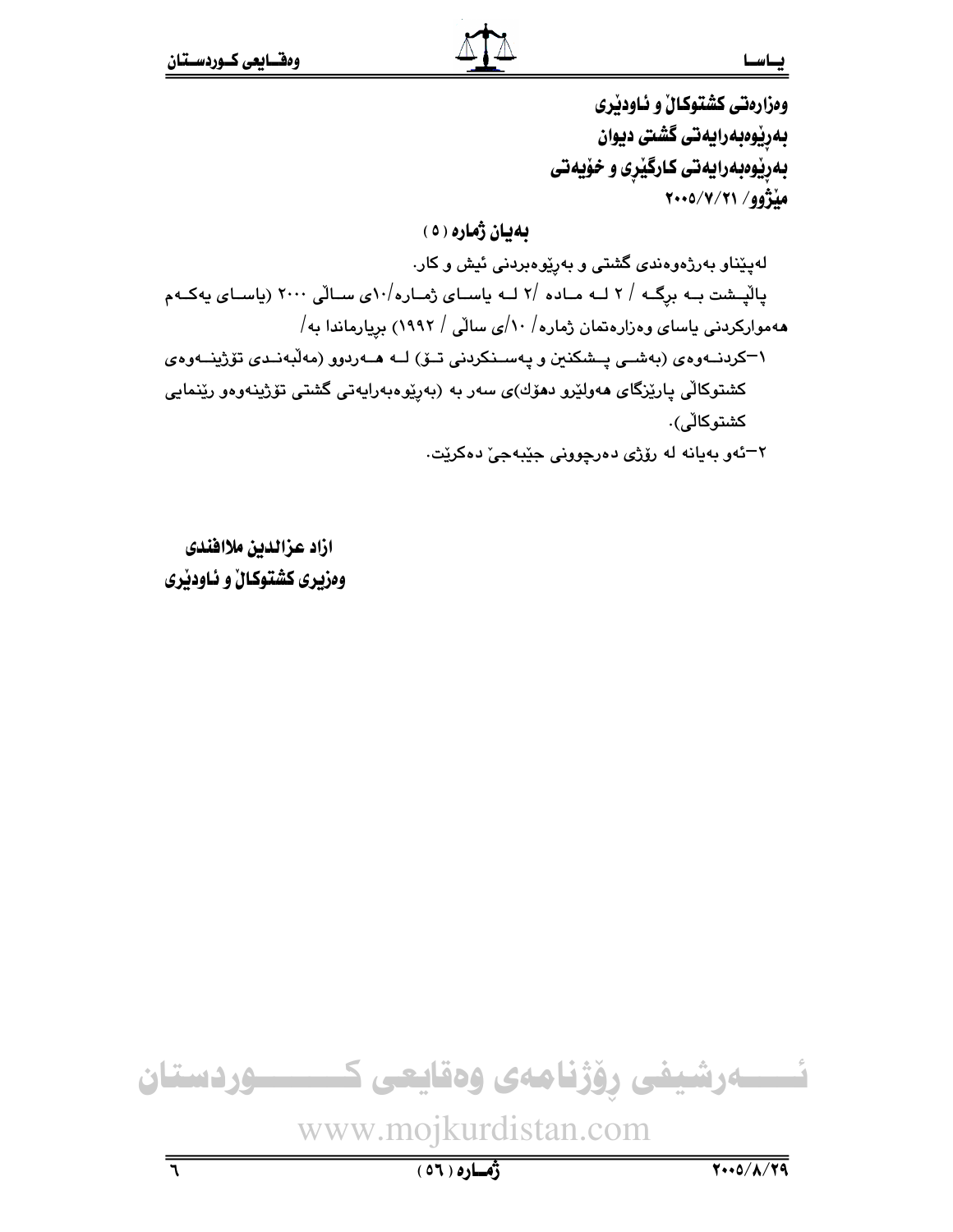وهزارهتي كشتوكالٌ و ئـاودێري بەرپوەبەرايەتى گشتى ديوان بهریوهبهرایهتی کارگیری و خویهتی مِنْزُوو/ ٢١/٧/٢١

بهيان ژماره ( ٥ )

لهپێناو بهرژهوهندی گشتی و بهرِێوهبردنی ئیش و کار. یالیشت بـه برگـه / ۲ لـه مـاده /۲ لـه یاسـای ژمـاره/۵۰ یسـالّی ۲۰۰۰ (یاسـای یهکـهم ههموارکردنی یاسای وهزارهتمان ژماره / ۱۰/ی سالی / ۱۹۹۲) بریارماندا به/ ۱–کردنــهوهى (بهشــی پــشکنین و پـهســنکردنی تــۆ) لــه هــهردوو (مهڵبهنــدی تۆژینــهوهى کشتوکالی پارێزگای مەولێرو دمۆك)ی سەر بە (بەرێوەبەراپەتی گشتی تۆژپنەوەو رێنمايی كشتوكاڵى). ٢–ئەو بەيانە لە رۆژى دەرچوونى جێبەجىٚ دەكرێت.

ازاد عزالدين ملاافندى وهزیری کشتوکالْ و ناودیری

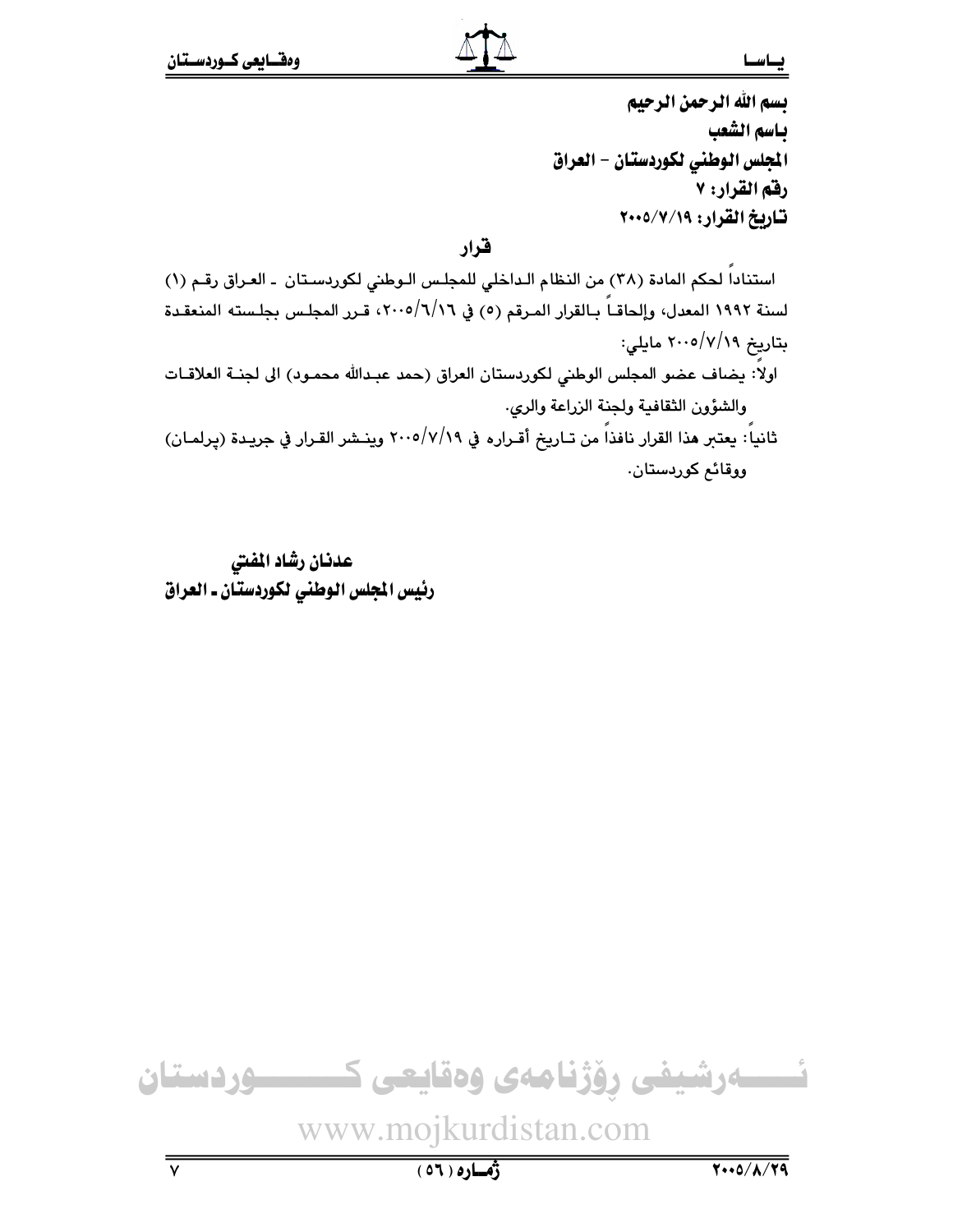بسم الله الرحمن الرحيم باسم الشعب المجلس الوطني لكوردستان - العراق رفق القرار: ٧ تاريخ القرار: ٧/٧/١٩-٢٠٠

قرار

استناداً لحكم المادة (٣٨) من النظام الـداخلي للمجلس الـوطني لكوردسـتان - العـراق رقـم (١) لسنة ١٩٩٢ المعدل، وإلحاقـاً بـالقرار المـرقم (٥) في ٢٠٠٥/٦/١٦، قـرر المجلـس بجلـسته المنعقـدة بتاريخ ٢٠٠٥/٧/١٩ مايلي: اولاً: يضاف عضو المجلس الوطني لكوردستان العراق (حمد عبدالله محمـود) الى لجنــة العلاقــات والشؤون الثقافية ولجنة الزراعة والرى.

ثانياً: يعتبر هذا القرار نافذاً من تـاريخ أقـراره في ٢٠٠٥/٧/١٩ وينـشر القـرار في جريـدة (يرلمـان) ووقائم کوردستان.

عدنان رشاد المفتى رئيس المجلس الوطني لكوردستان ـ العراق